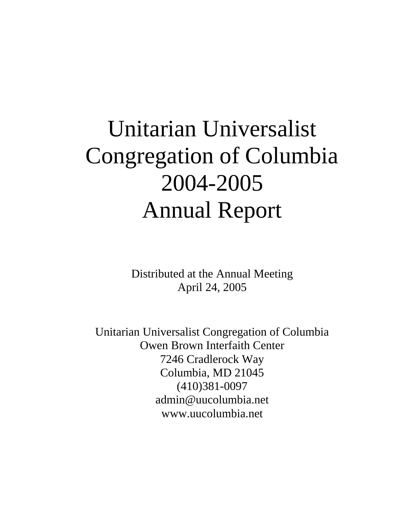# Unitarian Universalist Congregation of Columbia 2004-2005 Annual Report

Distributed at the Annual Meeting April 24, 2005

Unitarian Universalist Congregation of Columbia Owen Brown Interfaith Center 7246 Cradlerock Way Columbia, MD 21045 (410)381-0097 admin@uucolumbia.net www.uucolumbia.net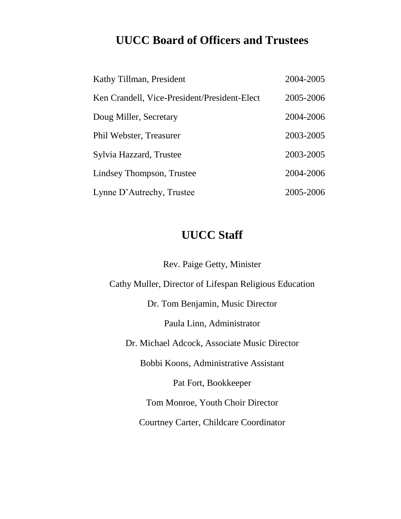# **UUCC Board of Officers and Trustees**

| Kathy Tillman, President                     | 2004-2005 |
|----------------------------------------------|-----------|
| Ken Crandell, Vice-President/President-Elect | 2005-2006 |
| Doug Miller, Secretary                       | 2004-2006 |
| Phil Webster, Treasurer                      | 2003-2005 |
| Sylvia Hazzard, Trustee                      | 2003-2005 |
| Lindsey Thompson, Trustee                    | 2004-2006 |
| Lynne D'Autrechy, Trustee                    | 2005-2006 |

# **UUCC Staff**

Rev. Paige Getty, Minister Cathy Muller, Director of Lifespan Religious Education Dr. Tom Benjamin, Music Director Paula Linn, Administrator Dr. Michael Adcock, Associate Music Director Bobbi Koons, Administrative Assistant Pat Fort, Bookkeeper Tom Monroe, Youth Choir Director Courtney Carter, Childcare Coordinator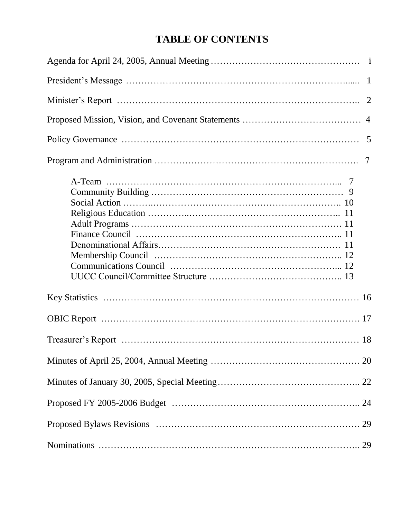# **TABLE OF CONTENTS**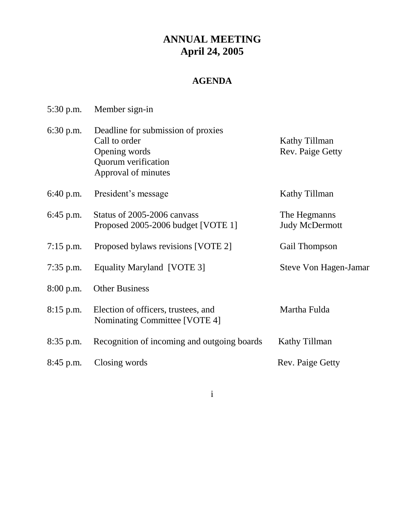# **ANNUAL MEETING April 24, 2005**

# **AGENDA**

| 5:30 p.m.   | Member sign-in                                                                                                     |                                       |
|-------------|--------------------------------------------------------------------------------------------------------------------|---------------------------------------|
| $6:30$ p.m. | Deadline for submission of proxies<br>Call to order<br>Opening words<br>Quorum verification<br>Approval of minutes | Kathy Tillman<br>Rev. Paige Getty     |
| $6:40$ p.m. | President's message                                                                                                | Kathy Tillman                         |
| 6:45 p.m.   | Status of 2005-2006 canvass<br>Proposed 2005-2006 budget [VOTE 1]                                                  | The Hegmanns<br><b>Judy McDermott</b> |
| $7:15$ p.m. | Proposed bylaws revisions [VOTE 2]                                                                                 | Gail Thompson                         |
| $7:35$ p.m. | Equality Maryland [VOTE 3]                                                                                         | <b>Steve Von Hagen-Jamar</b>          |
| $8:00$ p.m. | <b>Other Business</b>                                                                                              |                                       |
| $8:15$ p.m. | Election of officers, trustees, and<br>Nominating Committee [VOTE 4]                                               | Martha Fulda                          |
| $8:35$ p.m. | Recognition of incoming and outgoing boards                                                                        | Kathy Tillman                         |
| $8:45$ p.m. | Closing words                                                                                                      | Rev. Paige Getty                      |
|             |                                                                                                                    |                                       |

i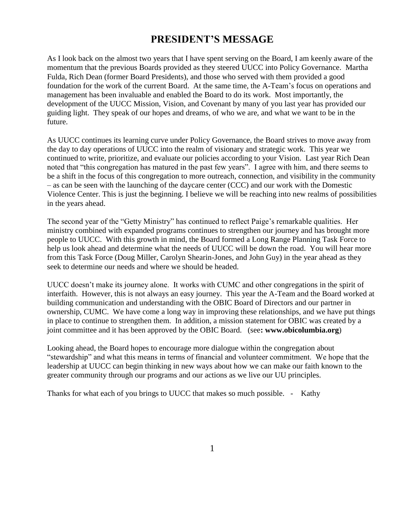# **PRESIDENT'S MESSAGE**

As I look back on the almost two years that I have spent serving on the Board, I am keenly aware of the momentum that the previous Boards provided as they steered UUCC into Policy Governance. Martha Fulda, Rich Dean (former Board Presidents), and those who served with them provided a good foundation for the work of the current Board. At the same time, the A-Team's focus on operations and management has been invaluable and enabled the Board to do its work. Most importantly, the development of the UUCC Mission, Vision, and Covenant by many of you last year has provided our guiding light. They speak of our hopes and dreams, of who we are, and what we want to be in the future.

As UUCC continues its learning curve under Policy Governance, the Board strives to move away from the day to day operations of UUCC into the realm of visionary and strategic work. This year we continued to write, prioritize, and evaluate our policies according to your Vision. Last year Rich Dean noted that "this congregation has matured in the past few years". I agree with him, and there seems to be a shift in the focus of this congregation to more outreach, connection, and visibility in the community – as can be seen with the launching of the daycare center (CCC) and our work with the Domestic Violence Center. This is just the beginning. I believe we will be reaching into new realms of possibilities in the years ahead.

The second year of the "Getty Ministry" has continued to reflect Paige's remarkable qualities. Her ministry combined with expanded programs continues to strengthen our journey and has brought more people to UUCC. With this growth in mind, the Board formed a Long Range Planning Task Force to help us look ahead and determine what the needs of UUCC will be down the road. You will hear more from this Task Force (Doug Miller, Carolyn Shearin-Jones, and John Guy) in the year ahead as they seek to determine our needs and where we should be headed.

UUCC doesn't make its journey alone. It works with CUMC and other congregations in the spirit of interfaith. However, this is not always an easy journey. This year the A-Team and the Board worked at building communication and understanding with the OBIC Board of Directors and our partner in ownership, CUMC. We have come a long way in improving these relationships, and we have put things in place to continue to strengthen them. In addition, a mission statement for OBIC was created by a joint committee and it has been approved by the OBIC Board. (see**: www.obicolumbia.org**)

Looking ahead, the Board hopes to encourage more dialogue within the congregation about "stewardship" and what this means in terms of financial and volunteer commitment. We hope that the leadership at UUCC can begin thinking in new ways about how we can make our faith known to the greater community through our programs and our actions as we live our UU principles.

Thanks for what each of you brings to UUCC that makes so much possible. - Kathy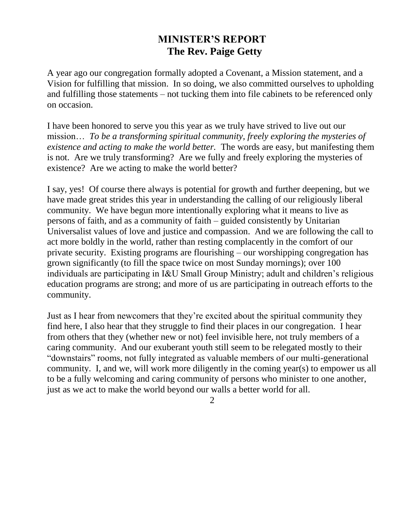# **MINISTER'S REPORT The Rev. Paige Getty**

A year ago our congregation formally adopted a Covenant, a Mission statement, and a Vision for fulfilling that mission. In so doing, we also committed ourselves to upholding and fulfilling those statements – not tucking them into file cabinets to be referenced only on occasion.

I have been honored to serve you this year as we truly have strived to live out our mission… *To be a transforming spiritual community, freely exploring the mysteries of existence and acting to make the world better.* The words are easy, but manifesting them is not. Are we truly transforming? Are we fully and freely exploring the mysteries of existence? Are we acting to make the world better?

I say, yes! Of course there always is potential for growth and further deepening, but we have made great strides this year in understanding the calling of our religiously liberal community. We have begun more intentionally exploring what it means to live as persons of faith, and as a community of faith – guided consistently by Unitarian Universalist values of love and justice and compassion. And we are following the call to act more boldly in the world, rather than resting complacently in the comfort of our private security. Existing programs are flourishing – our worshipping congregation has grown significantly (to fill the space twice on most Sunday mornings); over 100 individuals are participating in I&U Small Group Ministry; adult and children's religious education programs are strong; and more of us are participating in outreach efforts to the community.

Just as I hear from newcomers that they're excited about the spiritual community they find here, I also hear that they struggle to find their places in our congregation. I hear from others that they (whether new or not) feel invisible here, not truly members of a caring community. And our exuberant youth still seem to be relegated mostly to their "downstairs" rooms, not fully integrated as valuable members of our multi-generational community. I, and we, will work more diligently in the coming year(s) to empower us all to be a fully welcoming and caring community of persons who minister to one another, just as we act to make the world beyond our walls a better world for all.

 $\mathcal{D}_{\mathcal{L}}$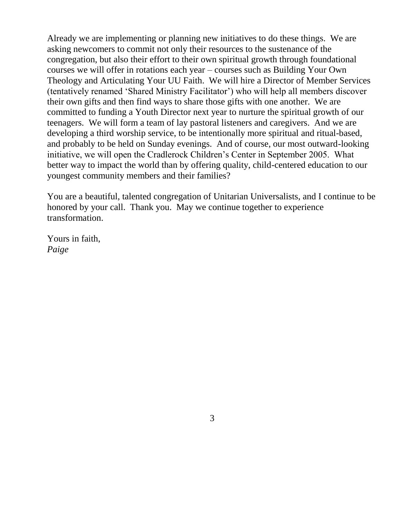Already we are implementing or planning new initiatives to do these things. We are asking newcomers to commit not only their resources to the sustenance of the congregation, but also their effort to their own spiritual growth through foundational courses we will offer in rotations each year – courses such as Building Your Own Theology and Articulating Your UU Faith. We will hire a Director of Member Services (tentatively renamed 'Shared Ministry Facilitator') who will help all members discover their own gifts and then find ways to share those gifts with one another. We are committed to funding a Youth Director next year to nurture the spiritual growth of our teenagers. We will form a team of lay pastoral listeners and caregivers. And we are developing a third worship service, to be intentionally more spiritual and ritual-based, and probably to be held on Sunday evenings. And of course, our most outward-looking initiative, we will open the Cradlerock Children's Center in September 2005. What better way to impact the world than by offering quality, child-centered education to our youngest community members and their families?

You are a beautiful, talented congregation of Unitarian Universalists, and I continue to be honored by your call. Thank you. May we continue together to experience transformation.

Yours in faith, *Paige*

3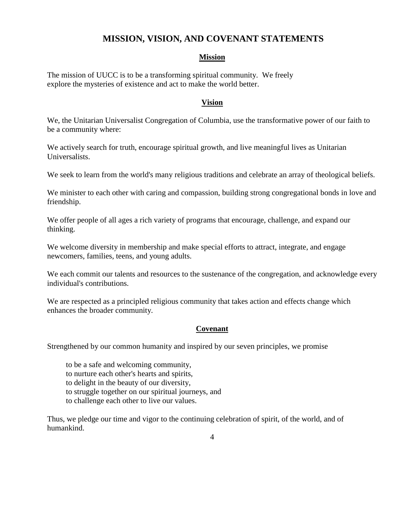#### **MISSION, VISION, AND COVENANT STATEMENTS**

#### **Mission**

The mission of UUCC is to be a transforming spiritual community. We freely explore the mysteries of existence and act to make the world better.

#### **Vision**

We, the Unitarian Universalist Congregation of Columbia, use the transformative power of our faith to be a community where:

We actively search for truth, encourage spiritual growth, and live meaningful lives as Unitarian Universalists.

We seek to learn from the world's many religious traditions and celebrate an array of theological beliefs.

We minister to each other with caring and compassion, building strong congregational bonds in love and friendship.

We offer people of all ages a rich variety of programs that encourage, challenge, and expand our thinking.

We welcome diversity in membership and make special efforts to attract, integrate, and engage newcomers, families, teens, and young adults.

We each commit our talents and resources to the sustenance of the congregation, and acknowledge every individual's contributions.

We are respected as a principled religious community that takes action and effects change which enhances the broader community.

#### **Covenant**

Strengthened by our common humanity and inspired by our seven principles, we promise

to be a safe and welcoming community, to nurture each other's hearts and spirits, to delight in the beauty of our diversity, to struggle together on our spiritual journeys, and to challenge each other to live our values.

Thus, we pledge our time and vigor to the continuing celebration of spirit, of the world, and of humankind.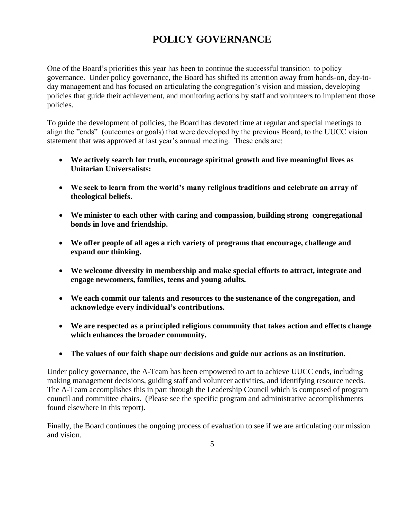# **POLICY GOVERNANCE**

One of the Board's priorities this year has been to continue the successful transition to policy governance. Under policy governance, the Board has shifted its attention away from hands-on, day-today management and has focused on articulating the congregation's vision and mission, developing policies that guide their achievement, and monitoring actions by staff and volunteers to implement those policies.

To guide the development of policies, the Board has devoted time at regular and special meetings to align the "ends" (outcomes or goals) that were developed by the previous Board, to the UUCC vision statement that was approved at last year's annual meeting. These ends are:

- **We actively search for truth, encourage spiritual growth and live meaningful lives as Unitarian Universalists:**
- **We seek to learn from the world's many religious traditions and celebrate an array of theological beliefs.**
- **We minister to each other with caring and compassion, building strong congregational bonds in love and friendship.**
- **We offer people of all ages a rich variety of programs that encourage, challenge and expand our thinking.**
- **We welcome diversity in membership and make special efforts to attract, integrate and engage newcomers, families, teens and young adults.**
- **We each commit our talents and resources to the sustenance of the congregation, and acknowledge every individual's contributions.**
- **We are respected as a principled religious community that takes action and effects change which enhances the broader community.**
- **The values of our faith shape our decisions and guide our actions as an institution.**

Under policy governance, the A-Team has been empowered to act to achieve UUCC ends, including making management decisions, guiding staff and volunteer activities, and identifying resource needs. The A-Team accomplishes this in part through the Leadership Council which is composed of program council and committee chairs. (Please see the specific program and administrative accomplishments found elsewhere in this report).

Finally, the Board continues the ongoing process of evaluation to see if we are articulating our mission and vision.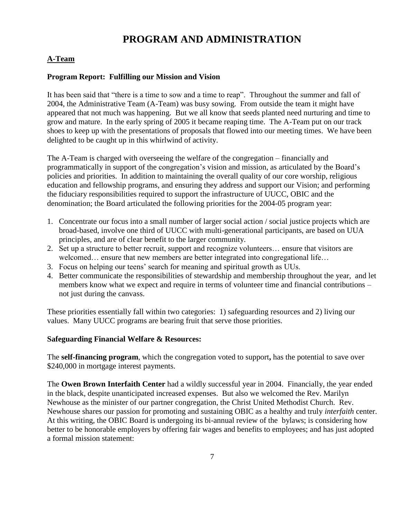# **PROGRAM AND ADMINISTRATION**

#### **A-Team**

#### **Program Report: Fulfilling our Mission and Vision**

It has been said that "there is a time to sow and a time to reap". Throughout the summer and fall of 2004, the Administrative Team (A-Team) was busy sowing. From outside the team it might have appeared that not much was happening. But we all know that seeds planted need nurturing and time to grow and mature. In the early spring of 2005 it became reaping time. The A-Team put on our track shoes to keep up with the presentations of proposals that flowed into our meeting times. We have been delighted to be caught up in this whirlwind of activity.

The A-Team is charged with overseeing the welfare of the congregation – financially and programmatically in support of the congregation's vision and mission, as articulated by the Board's policies and priorities. In addition to maintaining the overall quality of our core worship, religious education and fellowship programs, and ensuring they address and support our Vision; and performing the fiduciary responsibilities required to support the infrastructure of UUCC, OBIC and the denomination; the Board articulated the following priorities for the 2004-05 program year:

- 1. Concentrate our focus into a small number of larger social action / social justice projects which are broad-based, involve one third of UUCC with multi-generational participants, are based on UUA principles, and are of clear benefit to the larger community.
- 2. Set up a structure to better recruit, support and recognize volunteers… ensure that visitors are welcomed... ensure that new members are better integrated into congregational life...
- 3. Focus on helping our teens' search for meaning and spiritual growth as UUs.
- 4. Better communicate the responsibilities of stewardship and membership throughout the year, and let members know what we expect and require in terms of volunteer time and financial contributions – not just during the canvass.

These priorities essentially fall within two categories: 1) safeguarding resources and 2) living our values. Many UUCC programs are bearing fruit that serve those priorities.

#### **Safeguarding Financial Welfare & Resources:**

The **self-financing program**, which the congregation voted to support**,** has the potential to save over \$240,000 in mortgage interest payments.

The **Owen Brown Interfaith Center** had a wildly successful year in 2004. Financially, the year ended in the black, despite unanticipated increased expenses. But also we welcomed the Rev. Marilyn Newhouse as the minister of our partner congregation, the Christ United Methodist Church. Rev. Newhouse shares our passion for promoting and sustaining OBIC as a healthy and truly *interfaith* center. At this writing, the OBIC Board is undergoing its bi-annual review of the bylaws; is considering how better to be honorable employers by offering fair wages and benefits to employees; and has just adopted a formal mission statement: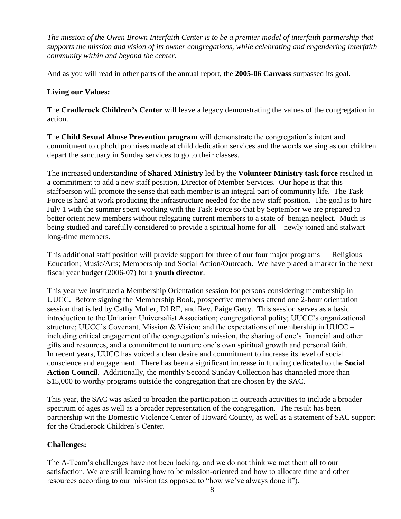*The mission of the Owen Brown Interfaith Center is to be a premier model of interfaith partnership that supports the mission and vision of its owner congregations, while celebrating and engendering interfaith community within and beyond the center.*

And as you will read in other parts of the annual report, the **2005-06 Canvass** surpassed its goal.

#### **Living our Values:**

The **Cradlerock Children's Center** will leave a legacy demonstrating the values of the congregation in action.

The **Child Sexual Abuse Prevention program** will demonstrate the congregation's intent and commitment to uphold promises made at child dedication services and the words we sing as our children depart the sanctuary in Sunday services to go to their classes.

The increased understanding of **Shared Ministry** led by the **Volunteer Ministry task force** resulted in a commitment to add a new staff position, Director of Member Services. Our hope is that this staffperson will promote the sense that each member is an integral part of community life. The Task Force is hard at work producing the infrastructure needed for the new staff position. The goal is to hire July 1 with the summer spent working with the Task Force so that by September we are prepared to better orient new members without relegating current members to a state of benign neglect. Much is being studied and carefully considered to provide a spiritual home for all – newly joined and stalwart long-time members.

This additional staff position will provide support for three of our four major programs — Religious Education; Music/Arts; Membership and Social Action/Outreach. We have placed a marker in the next fiscal year budget (2006-07) for a **youth director**.

This year we instituted a Membership Orientation session for persons considering membership in UUCC. Before signing the Membership Book, prospective members attend one 2-hour orientation session that is led by Cathy Muller, DLRE, and Rev. Paige Getty. This session serves as a basic introduction to the Unitarian Universalist Association; congregational polity; UUCC's organizational structure; UUCC's Covenant, Mission & Vision; and the expectations of membership in UUCC – including critical engagement of the congregation's mission, the sharing of one's financial and other gifts and resources, and a commitment to nurture one's own spiritual growth and personal faith. In recent years, UUCC has voiced a clear desire and commitment to increase its level of social conscience and engagement. There has been a significant increase in funding dedicated to the **Social Action Council**. Additionally, the monthly Second Sunday Collection has channeled more than \$15,000 to worthy programs outside the congregation that are chosen by the SAC.

This year, the SAC was asked to broaden the participation in outreach activities to include a broader spectrum of ages as well as a broader representation of the congregation. The result has been partnership wit the Domestic Violence Center of Howard County, as well as a statement of SAC support for the Cradlerock Children's Center.

#### **Challenges:**

The A-Team's challenges have not been lacking, and we do not think we met them all to our satisfaction. We are still learning how to be mission-oriented and how to allocate time and other resources according to our mission (as opposed to "how we've always done it").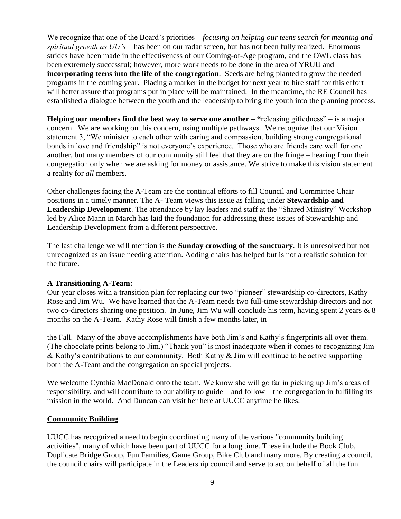We recognize that one of the Board's priorities—*focusing on helping our teens search for meaning and spiritual growth as UU's*—has been on our radar screen, but has not been fully realized. Enormous strides have been made in the effectiveness of our Coming-of-Age program, and the OWL class has been extremely successful; however, more work needs to be done in the area of YRUU and **incorporating teens into the life of the congregation**. Seeds are being planted to grow the needed programs in the coming year. Placing a marker in the budget for next year to hire staff for this effort will better assure that programs put in place will be maintained. In the meantime, the RE Council has established a dialogue between the youth and the leadership to bring the youth into the planning process.

**Helping our members find the best way to serve one another – "**releasing giftedness" – is a major concern. We are working on this concern, using multiple pathways. We recognize that our Vision statement 3, "We minister to each other with caring and compassion, building strong congregational bonds in love and friendship" is not everyone's experience. Those who are friends care well for one another, but many members of our community still feel that they are on the fringe – hearing from their congregation only when we are asking for money or assistance. We strive to make this vision statement a reality for *all* members.

Other challenges facing the A-Team are the continual efforts to fill Council and Committee Chair positions in a timely manner. The A- Team views this issue as falling under **Stewardship and Leadership Development**. The attendance by lay leaders and staff at the "Shared Ministry" Workshop led by Alice Mann in March has laid the foundation for addressing these issues of Stewardship and Leadership Development from a different perspective.

The last challenge we will mention is the **Sunday crowding of the sanctuary**. It is unresolved but not unrecognized as an issue needing attention. Adding chairs has helped but is not a realistic solution for the future.

#### **A Transitioning A-Team:**

Our year closes with a transition plan for replacing our two "pioneer" stewardship co-directors, Kathy Rose and Jim Wu. We have learned that the A-Team needs two full-time stewardship directors and not two co-directors sharing one position. In June, Jim Wu will conclude his term, having spent 2 years & 8 months on the A-Team. Kathy Rose will finish a few months later, in

the Fall. Many of the above accomplishments have both Jim's and Kathy's fingerprints all over them. (The chocolate prints belong to Jim.) "Thank you" is most inadequate when it comes to recognizing Jim & Kathy's contributions to our community. Both Kathy & Jim will continue to be active supporting both the A-Team and the congregation on special projects.

We welcome Cynthia MacDonald onto the team. We know she will go far in picking up Jim's areas of responsibility, and will contribute to our ability to guide – and follow – the congregation in fulfilling its mission in the world**.** And Duncan can visit her here at UUCC anytime he likes.

#### **Community Building**

UUCC has recognized a need to begin coordinating many of the various "community building activities", many of which have been part of UUCC for a long time. These include the Book Club, Duplicate Bridge Group, Fun Families, Game Group, Bike Club and many more. By creating a council, the council chairs will participate in the Leadership council and serve to act on behalf of all the fun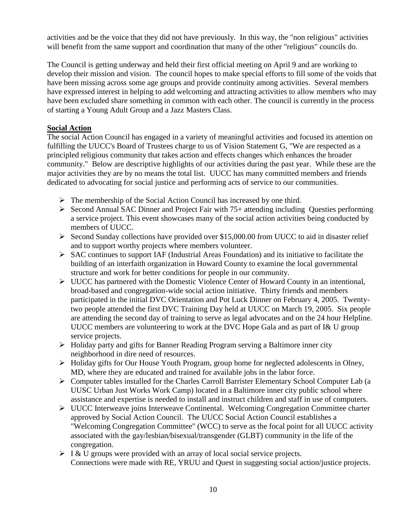activities and be the voice that they did not have previously. In this way, the "non religious" activities will benefit from the same support and coordination that many of the other "religious" councils do.

The Council is getting underway and held their first official meeting on April 9 and are working to develop their mission and vision. The council hopes to make special efforts to fill some of the voids that have been missing across some age groups and provide continuity among activities. Several members have expressed interest in helping to add welcoming and attracting activities to allow members who may have been excluded share something in common with each other. The council is currently in the process of starting a Young Adult Group and a Jazz Masters Class.

#### **Social Action**

The social Action Council has engaged in a variety of meaningful activities and focused its attention on fulfilling the UUCC's Board of Trustees charge to us of Vision Statement G, "We are respected as a principled religious community that takes action and effects changes which enhances the broader community." Below are descriptive highlights of our activities during the past year. While these are the major activities they are by no means the total list. UUCC has many committed members and friends dedicated to advocating for social justice and performing acts of service to our communities.

- $\triangleright$  The membership of the Social Action Council has increased by one third.
- $\triangleright$  Second Annual SAC Dinner and Project Fair with 75+ attending including Ouesties performing a service project. This event showcases many of the social action activities being conducted by members of UUCC.
- $\triangleright$  Second Sunday collections have provided over \$15,000.00 from UUCC to aid in disaster relief and to support worthy projects where members volunteer.
- $\triangleright$  SAC continues to support IAF (Industrial Areas Foundation) and its initiative to facilitate the building of an interfaith organization in Howard County to examine the local governmental structure and work for better conditions for people in our community.
- UUCC has partnered with the Domestic Violence Center of Howard County in an intentional, broad-based and congregation-wide social action initiative. Thirty friends and members participated in the initial DVC Orientation and Pot Luck Dinner on February 4, 2005. Twentytwo people attended the first DVC Training Day held at UUCC on March 19, 2005. Six people are attending the second day of training to serve as legal advocates and on the 24 hour Helpline. UUCC members are volunteering to work at the DVC Hope Gala and as part of I& U group service projects.
- Holiday party and gifts for Banner Reading Program serving a Baltimore inner city neighborhood in dire need of resources.
- $\triangleright$  Holiday gifts for Our House Youth Program, group home for neglected adolescents in Olney, MD, where they are educated and trained for available jobs in the labor force.
- $\triangleright$  Computer tables installed for the Charles Carroll Barrister Elementary School Computer Lab (a UUSC Urban Just Works Work Camp) located in a Baltimore inner city public school where assistance and expertise is needed to install and instruct children and staff in use of computers.
- UUCC Interweave joins Interweave Continental. Welcoming Congregation Committee charter approved by Social Action Council. The UUCC Social Action Council establishes a "Welcoming Congregation Committee" (WCC) to serve as the focal point for all UUCC activity associated with the gay/lesbian/bisexual/transgender (GLBT) community in the life of the congregation.
- $\triangleright$  I & U groups were provided with an array of local social service projects. Connections were made with RE, YRUU and Quest in suggesting social action/justice projects.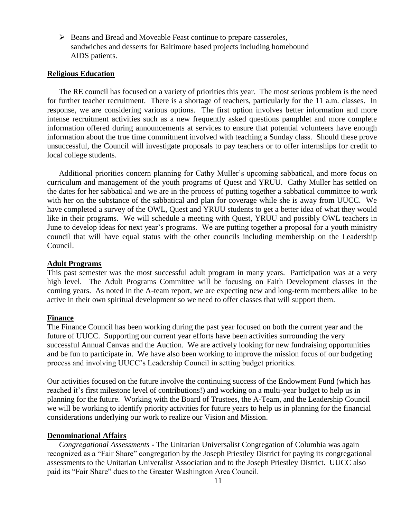$\triangleright$  Beans and Bread and Moveable Feast continue to prepare casseroles, sandwiches and desserts for Baltimore based projects including homebound AIDS patients.

#### **Religious Education**

The RE council has focused on a variety of priorities this year. The most serious problem is the need for further teacher recruitment. There is a shortage of teachers, particularly for the 11 a.m. classes. In response, we are considering various options. The first option involves better information and more intense recruitment activities such as a new frequently asked questions pamphlet and more complete information offered during announcements at services to ensure that potential volunteers have enough information about the true time commitment involved with teaching a Sunday class. Should these prove unsuccessful, the Council will investigate proposals to pay teachers or to offer internships for credit to local college students.

Additional priorities concern planning for Cathy Muller's upcoming sabbatical, and more focus on curriculum and management of the youth programs of Quest and YRUU. Cathy Muller has settled on the dates for her sabbatical and we are in the process of putting together a sabbatical committee to work with her on the substance of the sabbatical and plan for coverage while she is away from UUCC. We have completed a survey of the OWL, Quest and YRUU students to get a better idea of what they would like in their programs. We will schedule a meeting with Quest, YRUU and possibly OWL teachers in June to develop ideas for next year's programs. We are putting together a proposal for a youth ministry council that will have equal status with the other councils including membership on the Leadership Council.

#### **Adult Programs**

This past semester was the most successful adult program in many years. Participation was at a very high level. The Adult Programs Committee will be focusing on Faith Development classes in the coming years. As noted in the A-team report, we are expecting new and long-term members alike to be active in their own spiritual development so we need to offer classes that will support them.

#### **Finance**

The Finance Council has been working during the past year focused on both the current year and the future of UUCC. Supporting our current year efforts have been activities surrounding the very successful Annual Canvas and the Auction. We are actively looking for new fundraising opportunities and be fun to participate in. We have also been working to improve the mission focus of our budgeting process and involving UUCC's Leadership Council in setting budget priorities.

Our activities focused on the future involve the continuing success of the Endowment Fund (which has reached it's first milestone level of contributions!) and working on a multi-year budget to help us in planning for the future. Working with the Board of Trustees, the A-Team, and the Leadership Council we will be working to identify priority activities for future years to help us in planning for the financial considerations underlying our work to realize our Vision and Mission.

#### **Denominational Affairs**

*Congregational Assessments* **-** The Unitarian Universalist Congregation of Columbia was again recognized as a "Fair Share" congregation by the Joseph Priestley District for paying its congregational assessments to the Unitarian Univeralist Association and to the Joseph Priestley District. UUCC also paid its "Fair Share" dues to the Greater Washington Area Council.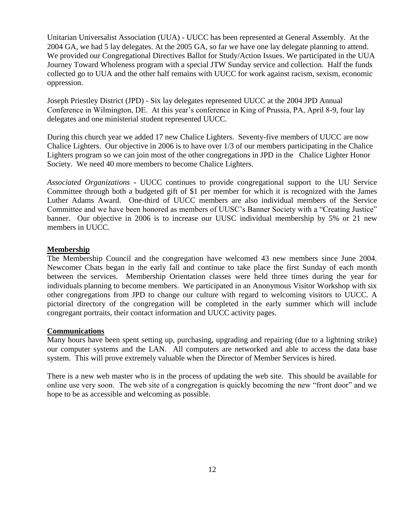Unitarian Universalist Association (UUA) - UUCC has been represented at General Assembly. At the 2004 GA, we had 5 lay delegates. At the 2005 GA, so far we have one lay delegate planning to attend. We provided our Congregational Directives Ballot for Study/Action Issues. We participated in the UUA Journey Toward Wholeness program with a special JTW Sunday service and collection. Half the funds collected go to UUA and the other half remains with UUCC for work against racism, sexism, economic oppression.

Joseph Priestley District (JPD) - Six lay delegates represented UUCC at the 2004 JPD Annual Conference in Wilmington, DE. At this year's conference in King of Prussia, PA, April 8-9, four lay delegates and one ministerial student represented UUCC.

During this church year we added 17 new Chalice Lighters. Seventy-five members of UUCC are now Chalice Lighters. Our objective in 2006 is to have over 1/3 of our members participating in the Chalice Lighters program so we can join most of the other congregations in JPD in the Chalice Lighter Honor Society. We need 40 more members to become Chalice Lighters.

*Associated Organizations* **-** UUCC continues to provide congregational support to the UU Service Committee through both a budgeted gift of \$1 per member for which it is recognized with the James Luther Adams Award. One-third of UUCC members are also individual members of the Service Committee and we have been honored as members of UUSC's Banner Society with a "Creating Justice" banner. Our objective in 2006 is to increase our UUSC individual membership by 5% or 21 new members in UUCC.

#### **Membership**

The Membership Council and the congregation have welcomed 43 new members since June 2004. Newcomer Chats began in the early fall and continue to take place the first Sunday of each month between the services. Membership Orientation classes were held three times during the year for individuals planning to become members. We participated in an Anonymous Visitor Workshop with six other congregations from JPD to change our culture with regard to welcoming visitors to UUCC. A pictorial directory of the congregation will be completed in the early summer which will include congregant portraits, their contact information and UUCC activity pages.

#### **Communications**

Many hours have been spent setting up, purchasing, upgrading and repairing (due to a lightning strike) our computer systems and the LAN. All computers are networked and able to access the data base system. This will prove extremely valuable when the Director of Member Services is hired.

There is a new web master who is in the process of updating the web site. This should be available for online use very soon. The web site of a congregation is quickly becoming the new "front door" and we hope to be as accessible and welcoming as possible.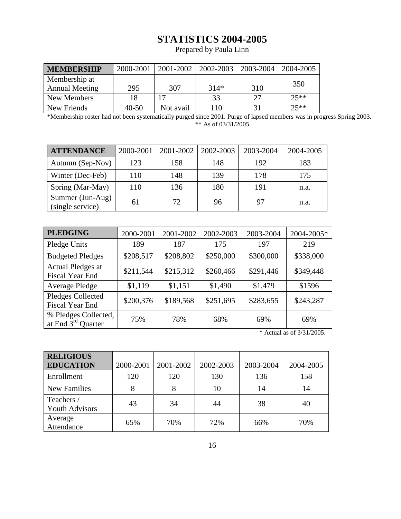# **STATISTICS 2004-2005**

Prepared by Paula Linn

| <b>MEMBERSHIP</b>     | 2000-2001 | $2001 - 2002$ | $2002 - 2003$   2003-2004 |     | 2004-2005 |
|-----------------------|-----------|---------------|---------------------------|-----|-----------|
| Membership at         |           |               |                           |     | 350       |
| <b>Annual Meeting</b> | 295       | 307           | $314*$                    | 310 |           |
| New Members           | 18        |               | 33                        | 27  | $25**$    |
| New Friends           | $40 - 50$ | Not avail     | 110                       | 31  | $25**$    |

\*Membership roster had not been systematically purged since 2001. Purge of lapsed members was in progress Spring 2003. \*\* As of 03/31/2005

| <b>ATTENDANCE</b>                    | 2000-2001 | 2001-2002 | 2002-2003 | 2003-2004 | 2004-2005 |
|--------------------------------------|-----------|-----------|-----------|-----------|-----------|
| Autumn (Sep-Nov)                     | 123       | 158       | 148       | 192       | 183       |
| Winter (Dec-Feb)                     | 110       | 148       | 139       | 178       | 175       |
| Spring (Mar-May)                     | 110       | 136       | 180       | 191       | n.a.      |
| Summer (Jun-Aug)<br>(single service) | 61        | 72        | 96        | 97        | n.a.      |

| <b>PLEDGING</b>                              | 2000-2001 | 2001-2002 | 2002-2003 | 2003-2004 | 2004-2005* |
|----------------------------------------------|-----------|-----------|-----------|-----------|------------|
| Pledge Units                                 | 189       | 187       | 175       | 197       | 219        |
| <b>Budgeted Pledges</b>                      | \$208,517 | \$208,802 | \$250,000 | \$300,000 | \$338,000  |
| Actual Pledges at<br><b>Fiscal Year End</b>  | \$211,544 | \$215,312 | \$260,466 | \$291,446 | \$349,448  |
| <b>Average Pledge</b>                        | \$1,119   | \$1,151   | \$1,490   | \$1,479   | \$1596     |
| Pledges Collected<br><b>Fiscal Year End</b>  | \$200,376 | \$189,568 | \$251,695 | \$283,655 | \$243,287  |
| % Pledges Collected,<br>at End $3rd$ Quarter | 75%       | 78%       | 68%       | 69%       | 69%        |

\* Actual as of 3/31/2005.

| <b>RELIGIOUS</b>      |           |           |           |           |           |  |
|-----------------------|-----------|-----------|-----------|-----------|-----------|--|
| <b>EDUCATION</b>      | 2000-2001 | 2001-2002 | 2002-2003 | 2003-2004 | 2004-2005 |  |
| Enrollment            | 120       | 120       | 130       | 136       | 158       |  |
| <b>New Families</b>   |           |           | 10        | 14        | 14        |  |
| Teachers /            | 43        | 34        | 44        | 38        | 40        |  |
| <b>Youth Advisors</b> |           |           |           |           |           |  |
| Average               | 65%       | 70%       | 72%       | 66%       | 70%       |  |
| Attendance            |           |           |           |           |           |  |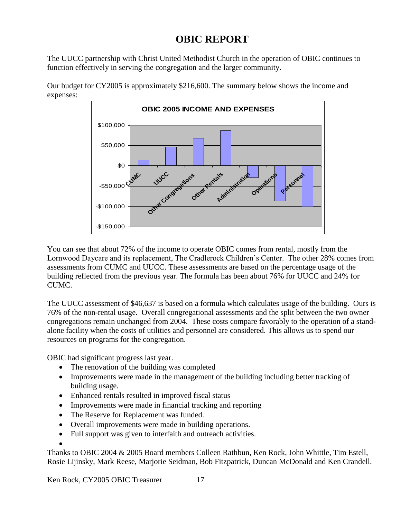# **OBIC REPORT**

The UUCC partnership with Christ United Methodist Church in the operation of OBIC continues to function effectively in serving the congregation and the larger community.



Our budget for CY2005 is approximately \$216,600. The summary below shows the income and expenses:

You can see that about 72% of the income to operate OBIC comes from rental, mostly from the Lornwood Daycare and its replacement, The Cradlerock Children's Center. The other 28% comes from assessments from CUMC and UUCC. These assessments are based on the percentage usage of the building reflected from the previous year. The formula has been about 76% for UUCC and 24% for CUMC.

The UUCC assessment of \$46,637 is based on a formula which calculates usage of the building. Ours is 76% of the non-rental usage. Overall congregational assessments and the split between the two owner congregations remain unchanged from 2004. These costs compare favorably to the operation of a standalone facility when the costs of utilities and personnel are considered. This allows us to spend our resources on programs for the congregation.

OBIC had significant progress last year.

- The renovation of the building was completed
- Improvements were made in the management of the building including better tracking of building usage.
- Enhanced rentals resulted in improved fiscal status
- Improvements were made in financial tracking and reporting
- The Reserve for Replacement was funded.
- Overall improvements were made in building operations.
- Full support was given to interfaith and outreach activities.

 $\bullet$ 

Thanks to OBIC 2004 & 2005 Board members Colleen Rathbun, Ken Rock, John Whittle, Tim Estell, Rosie Lijinsky, Mark Reese, Marjorie Seidman, Bob Fitzpatrick, Duncan McDonald and Ken Crandell.

Ken Rock, CY2005 OBIC Treasurer 17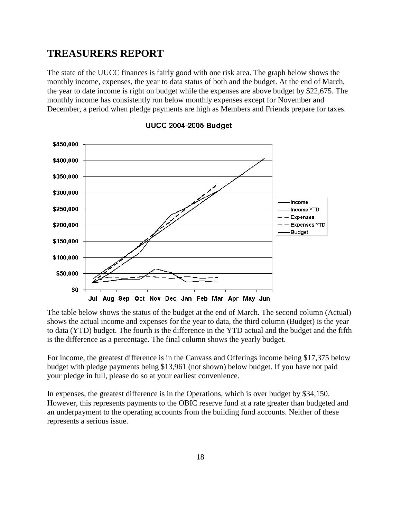#### **TREASURERS REPORT**

The state of the UUCC finances is fairly good with one risk area. The graph below shows the monthly income, expenses, the year to data status of both and the budget. At the end of March, the year to date income is right on budget while the expenses are above budget by \$22,675. The monthly income has consistently run below monthly expenses except for November and December, a period when pledge payments are high as Members and Friends prepare for taxes.



**UUCC 2004-2005 Budget** 

The table below shows the status of the budget at the end of March. The second column (Actual) shows the actual income and expenses for the year to data, the third column (Budget) is the year to data (YTD) budget. The fourth is the difference in the YTD actual and the budget and the fifth is the difference as a percentage. The final column shows the yearly budget.

For income, the greatest difference is in the Canvass and Offerings income being \$17,375 below budget with pledge payments being \$13,961 (not shown) below budget. If you have not paid your pledge in full, please do so at your earliest convenience.

In expenses, the greatest difference is in the Operations, which is over budget by \$34,150. However, this represents payments to the OBIC reserve fund at a rate greater than budgeted and an underpayment to the operating accounts from the building fund accounts. Neither of these represents a serious issue.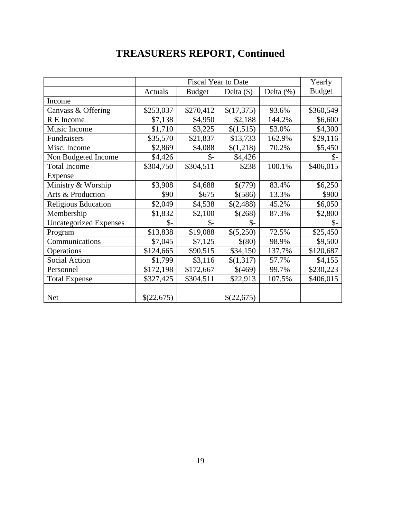# **TREASURERS REPORT, Continued**

|                               |                | Yearly          |                 |              |                |
|-------------------------------|----------------|-----------------|-----------------|--------------|----------------|
|                               | Actuals        | <b>Budget</b>   | Delta $(\$)$    | Delta $(\%)$ | <b>Budget</b>  |
| Income                        |                |                 |                 |              |                |
| Canvass & Offering            | \$253,037      | \$270,412       | \$(17,375)      | 93.6%        | \$360,549      |
| R E Income                    | \$7,138        | \$4,950         | \$2,188         | 144.2%       | \$6,600        |
| Music Income                  | \$1,710        | \$3,225         | \$(1,515)       | 53.0%        | \$4,300        |
| Fundraisers                   | \$35,570       | \$21,837        | \$13,733        | 162.9%       | \$29,116       |
| Misc. Income                  | \$2,869        | \$4,088         | \$(1,218)       | 70.2%        | \$5,450        |
| Non Budgeted Income           | \$4,426        | $\mathsf{\$}$ - | \$4,426         |              | $\frac{1}{2}$  |
| <b>Total Income</b>           | \$304,750      | \$304,511       | \$238           | 100.1%       | \$406,015      |
| Expense                       |                |                 |                 |              |                |
| Ministry & Worship            | \$3,908        | \$4,688         | \$(779)         | 83.4%        | \$6,250        |
| Arts & Production             | \$90           | \$675           | \$ (586)        | 13.3%        | \$900          |
| Religious Education           | \$2,049        | \$4,538         | \$(2,488)       | 45.2%        | \$6,050        |
| Membership                    | \$1,832        | \$2,100         | \$(268)         | 87.3%        | \$2,800        |
| <b>Uncategorized Expenses</b> | $\mathsf{S}$ - | $\mathcal{S}$ - | $\mathcal{S}$ - |              | $\mathsf{S}$ - |
| Program                       | \$13,838       | \$19,088        | \$(5,250)       | 72.5%        | \$25,450       |
| Communications                | \$7,045        | \$7,125         | \$(80)          | 98.9%        | \$9,500        |
| Operations                    | \$124,665      | \$90,515        | \$34,150        | 137.7%       | \$120,687      |
| Social Action                 | \$1,799        | \$3,116         | \$(1,317)       | 57.7%        | \$4,155        |
| Personnel                     | \$172,198      | \$172,667       | \$(469)         | 99.7%        | \$230,223      |
| <b>Total Expense</b>          | \$327,425      | \$304,511       | \$22,913        | 107.5%       | \$406,015      |
|                               |                |                 |                 |              |                |
| <b>Net</b>                    | \$(22,675)     |                 | \$(22,675)      |              |                |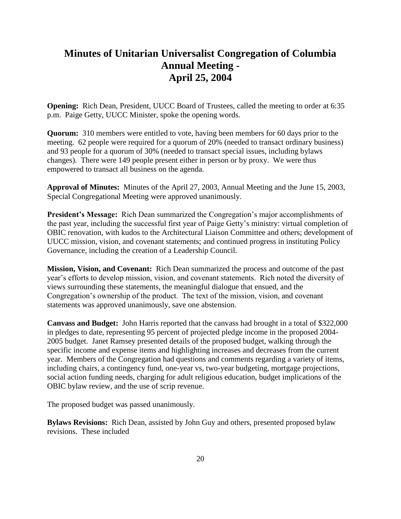# **Minutes of Unitarian Universalist Congregation of Columbia Annual Meeting - April 25, 2004**

**Opening:** Rich Dean, President, UUCC Board of Trustees, called the meeting to order at 6:35 p.m. Paige Getty, UUCC Minister, spoke the opening words.

**Quorum:** 310 members were entitled to vote, having been members for 60 days prior to the meeting. 62 people were required for a quorum of 20% (needed to transact ordinary business) and 93 people for a quorum of 30% (needed to transact special issues, including bylaws changes). There were 149 people present either in person or by proxy. We were thus empowered to transact all business on the agenda.

**Approval of Minutes:** Minutes of the April 27, 2003, Annual Meeting and the June 15, 2003, Special Congregational Meeting were approved unanimously.

**President's Message:** Rich Dean summarized the Congregation's major accomplishments of the past year, including the successful first year of Paige Getty's ministry: virtual completion of OBIC renovation, with kudos to the Architectural Liaison Committee and others; development of UUCC mission, vision, and covenant statements; and continued progress in instituting Policy Governance, including the creation of a Leadership Council.

**Mission, Vision, and Covenant:** Rich Dean summarized the process and outcome of the past year's efforts to develop mission, vision, and covenant statements. Rich noted the diversity of views surrounding these statements, the meaningful dialogue that ensued, and the Congregation's ownership of the product. The text of the mission, vision, and covenant statements was approved unanimously, save one abstension.

**Canvass and Budget:** John Harris reported that the canvass had brought in a total of \$322,000 in pledges to date, representing 95 percent of projected pledge income in the proposed 2004- 2005 budget. Janet Ramsey presented details of the proposed budget, walking through the specific income and expense items and highlighting increases and decreases from the current year. Members of the Congregation had questions and comments regarding a variety of items, including chairs, a contingency fund, one-year vs, two-year budgeting, mortgage projections, social action funding needs, charging for adult religious education, budget implications of the OBIC bylaw review, and the use of scrip revenue.

The proposed budget was passed unanimously.

**Bylaws Revisions:** Rich Dean, assisted by John Guy and others, presented proposed bylaw revisions. These included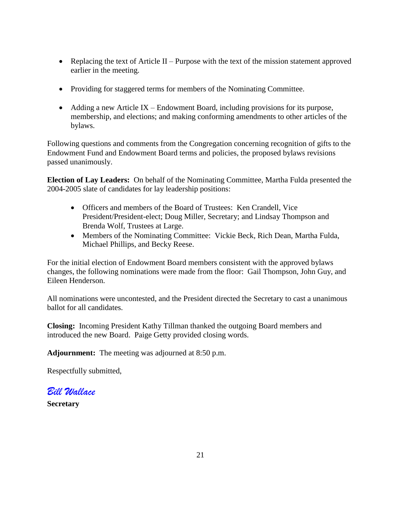- Replacing the text of Article II Purpose with the text of the mission statement approved earlier in the meeting.
- Providing for staggered terms for members of the Nominating Committee.
- Adding a new Article IX Endowment Board, including provisions for its purpose, membership, and elections; and making conforming amendments to other articles of the bylaws.

Following questions and comments from the Congregation concerning recognition of gifts to the Endowment Fund and Endowment Board terms and policies, the proposed bylaws revisions passed unanimously.

**Election of Lay Leaders:** On behalf of the Nominating Committee, Martha Fulda presented the 2004-2005 slate of candidates for lay leadership positions:

- Officers and members of the Board of Trustees: Ken Crandell, Vice President/President-elect; Doug Miller, Secretary; and Lindsay Thompson and Brenda Wolf, Trustees at Large.
- Members of the Nominating Committee: Vickie Beck, Rich Dean, Martha Fulda, Michael Phillips, and Becky Reese.

For the initial election of Endowment Board members consistent with the approved bylaws changes, the following nominations were made from the floor: Gail Thompson, John Guy, and Eileen Henderson.

All nominations were uncontested, and the President directed the Secretary to cast a unanimous ballot for all candidates.

**Closing:** Incoming President Kathy Tillman thanked the outgoing Board members and introduced the new Board. Paige Getty provided closing words.

**Adjournment:** The meeting was adjourned at 8:50 p.m.

Respectfully submitted,

*Bill Wallace*

**Secretary**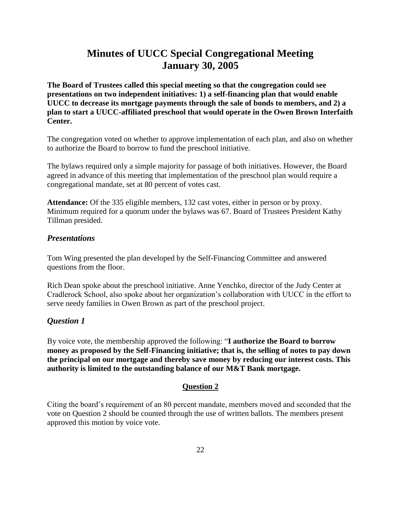# **Minutes of UUCC Special Congregational Meeting January 30, 2005**

**The Board of Trustees called this special meeting so that the congregation could see presentations on two independent initiatives: 1) a self-financing plan that would enable UUCC to decrease its mortgage payments through the sale of bonds to members, and 2) a plan to start a UUCC-affiliated preschool that would operate in the Owen Brown Interfaith Center.**

The congregation voted on whether to approve implementation of each plan, and also on whether to authorize the Board to borrow to fund the preschool initiative.

The bylaws required only a simple majority for passage of both initiatives. However, the Board agreed in advance of this meeting that implementation of the preschool plan would require a congregational mandate, set at 80 percent of votes cast.

**Attendance:** Of the 335 eligible members, 132 cast votes, either in person or by proxy. Minimum required for a quorum under the bylaws was 67. Board of Trustees President Kathy Tillman presided.

#### *Presentations*

Tom Wing presented the plan developed by the Self-Financing Committee and answered questions from the floor.

Rich Dean spoke about the preschool initiative. Anne Yenchko, director of the Judy Center at Cradlerock School, also spoke about her organization's collaboration with UUCC in the effort to serve needy families in Owen Brown as part of the preschool project.

#### *Question 1*

By voice vote, the membership approved the following: "**I authorize the Board to borrow money as proposed by the Self-Financing initiative; that is, the selling of notes to pay down the principal on our mortgage and thereby save money by reducing our interest costs. This authority is limited to the outstanding balance of our M&T Bank mortgage.**

#### **Question 2**

Citing the board's requirement of an 80 percent mandate, members moved and seconded that the vote on Question 2 should be counted through the use of written ballots. The members present approved this motion by voice vote.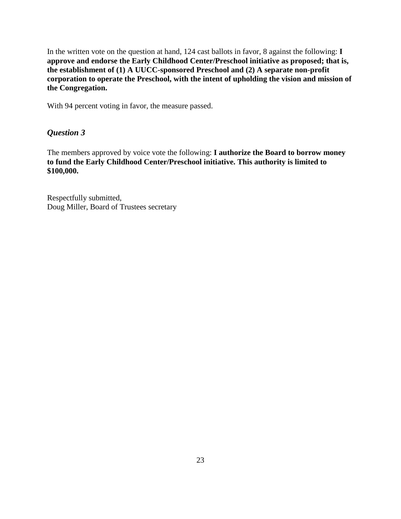In the written vote on the question at hand, 124 cast ballots in favor, 8 against the following: **I approve and endorse the Early Childhood Center/Preschool initiative as proposed; that is, the establishment of (1) A UUCC-sponsored Preschool and (2) A separate non-profit corporation to operate the Preschool, with the intent of upholding the vision and mission of the Congregation.**

With 94 percent voting in favor, the measure passed.

#### *Question 3*

The members approved by voice vote the following: **I authorize the Board to borrow money to fund the Early Childhood Center/Preschool initiative. This authority is limited to \$100,000.**

Respectfully submitted, Doug Miller, Board of Trustees secretary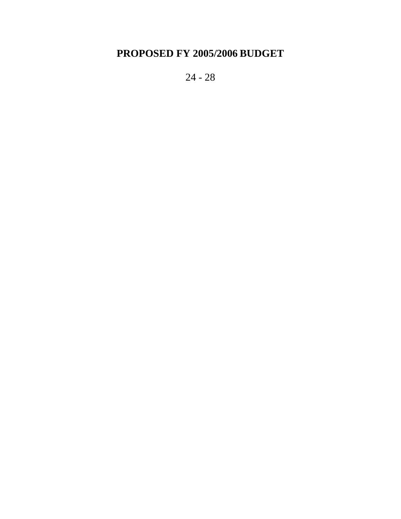# **PROPOSED FY 2005/2006 BUDGET**

24 - 28